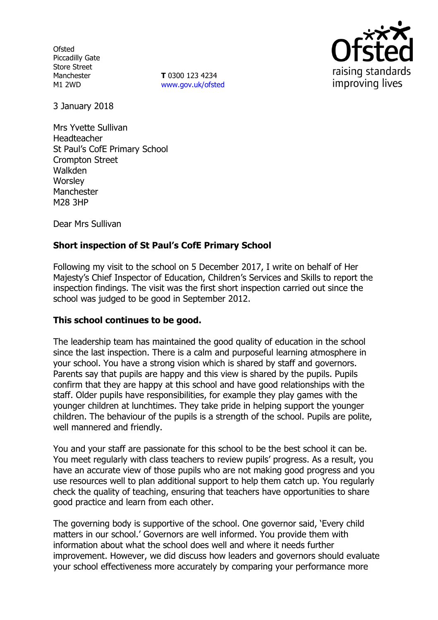**Ofsted** Piccadilly Gate Store Street Manchester M1 2WD

**T** 0300 123 4234 www.gov.uk/ofsted



3 January 2018

Mrs Yvette Sullivan Headteacher St Paul's CofE Primary School Crompton Street Walkden **Worsley Manchester** M28 3HP

Dear Mrs Sullivan

# **Short inspection of St Paul's CofE Primary School**

Following my visit to the school on 5 December 2017, I write on behalf of Her Majesty's Chief Inspector of Education, Children's Services and Skills to report the inspection findings. The visit was the first short inspection carried out since the school was judged to be good in September 2012.

## **This school continues to be good.**

The leadership team has maintained the good quality of education in the school since the last inspection. There is a calm and purposeful learning atmosphere in your school. You have a strong vision which is shared by staff and governors. Parents say that pupils are happy and this view is shared by the pupils. Pupils confirm that they are happy at this school and have good relationships with the staff. Older pupils have responsibilities, for example they play games with the younger children at lunchtimes. They take pride in helping support the younger children. The behaviour of the pupils is a strength of the school. Pupils are polite, well mannered and friendly.

You and your staff are passionate for this school to be the best school it can be. You meet regularly with class teachers to review pupils' progress. As a result, you have an accurate view of those pupils who are not making good progress and you use resources well to plan additional support to help them catch up. You regularly check the quality of teaching, ensuring that teachers have opportunities to share good practice and learn from each other.

The governing body is supportive of the school. One governor said, 'Every child matters in our school.' Governors are well informed. You provide them with information about what the school does well and where it needs further improvement. However, we did discuss how leaders and governors should evaluate your school effectiveness more accurately by comparing your performance more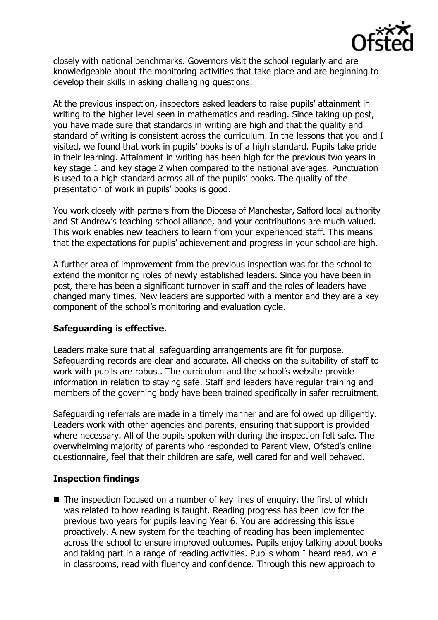

closely with national benchmarks. Governors visit the school regularly and are knowledgeable about the monitoring activities that take place and are beginning to develop their skills in asking challenging questions.

At the previous inspection, inspectors asked leaders to raise pupils' attainment in writing to the higher level seen in mathematics and reading. Since taking up post, you have made sure that standards in writing are high and that the quality and standard of writing is consistent across the curriculum. In the lessons that you and I visited, we found that work in pupils' books is of a high standard. Pupils take pride in their learning. Attainment in writing has been high for the previous two years in key stage 1 and key stage 2 when compared to the national averages. Punctuation is used to a high standard across all of the pupils' books. The quality of the presentation of work in pupils' books is good.

You work closely with partners from the Diocese of Manchester, Salford local authority and St Andrew's teaching school alliance, and your contributions are much valued. This work enables new teachers to learn from your experienced staff. This means that the expectations for pupils' achievement and progress in your school are high.

A further area of improvement from the previous inspection was for the school to extend the monitoring roles of newly established leaders. Since you have been in post, there has been a significant turnover in staff and the roles of leaders have changed many times. New leaders are supported with a mentor and they are a key component of the school's monitoring and evaluation cycle.

## **Safeguarding is effective.**

Leaders make sure that all safeguarding arrangements are fit for purpose. Safeguarding records are clear and accurate. All checks on the suitability of staff to work with pupils are robust. The curriculum and the school's website provide information in relation to staying safe. Staff and leaders have regular training and members of the governing body have been trained specifically in safer recruitment.

Safeguarding referrals are made in a timely manner and are followed up diligently. Leaders work with other agencies and parents, ensuring that support is provided where necessary. All of the pupils spoken with during the inspection felt safe. The overwhelming majority of parents who responded to Parent View, Ofsted's online questionnaire, feel that their children are safe, well cared for and well behaved.

# **Inspection findings**

 $\blacksquare$  The inspection focused on a number of key lines of enquiry, the first of which was related to how reading is taught. Reading progress has been low for the previous two years for pupils leaving Year 6. You are addressing this issue proactively. A new system for the teaching of reading has been implemented across the school to ensure improved outcomes. Pupils enjoy talking about books and taking part in a range of reading activities. Pupils whom I heard read, while in classrooms, read with fluency and confidence. Through this new approach to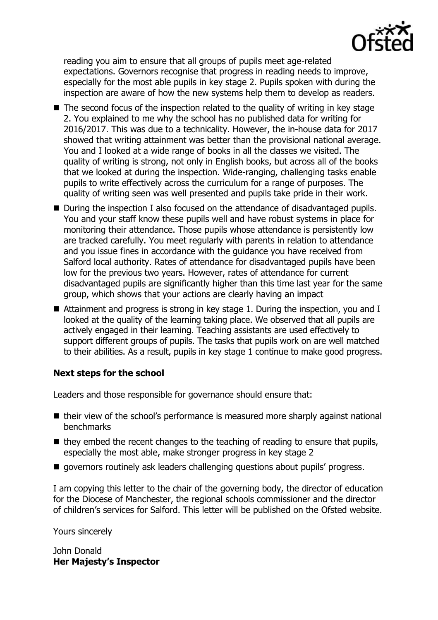

reading you aim to ensure that all groups of pupils meet age-related expectations. Governors recognise that progress in reading needs to improve, especially for the most able pupils in key stage 2. Pupils spoken with during the inspection are aware of how the new systems help them to develop as readers.

- $\blacksquare$  The second focus of the inspection related to the quality of writing in key stage 2. You explained to me why the school has no published data for writing for 2016/2017. This was due to a technicality. However, the in-house data for 2017 showed that writing attainment was better than the provisional national average. You and I looked at a wide range of books in all the classes we visited. The quality of writing is strong, not only in English books, but across all of the books that we looked at during the inspection. Wide-ranging, challenging tasks enable pupils to write effectively across the curriculum for a range of purposes. The quality of writing seen was well presented and pupils take pride in their work.
- During the inspection I also focused on the attendance of disadvantaged pupils. You and your staff know these pupils well and have robust systems in place for monitoring their attendance. Those pupils whose attendance is persistently low are tracked carefully. You meet regularly with parents in relation to attendance and you issue fines in accordance with the guidance you have received from Salford local authority. Rates of attendance for disadvantaged pupils have been low for the previous two years. However, rates of attendance for current disadvantaged pupils are significantly higher than this time last year for the same group, which shows that your actions are clearly having an impact
- Attainment and progress is strong in key stage 1. During the inspection, you and I looked at the quality of the learning taking place. We observed that all pupils are actively engaged in their learning. Teaching assistants are used effectively to support different groups of pupils. The tasks that pupils work on are well matched to their abilities. As a result, pupils in key stage 1 continue to make good progress.

## **Next steps for the school**

Leaders and those responsible for governance should ensure that:

- their view of the school's performance is measured more sharply against national benchmarks
- $\blacksquare$  they embed the recent changes to the teaching of reading to ensure that pupils, especially the most able, make stronger progress in key stage 2
- $\blacksquare$  governors routinely ask leaders challenging questions about pupils' progress.

I am copying this letter to the chair of the governing body, the director of education for the Diocese of Manchester, the regional schools commissioner and the director of children's services for Salford. This letter will be published on the Ofsted website.

Yours sincerely

John Donald **Her Majesty's Inspector**